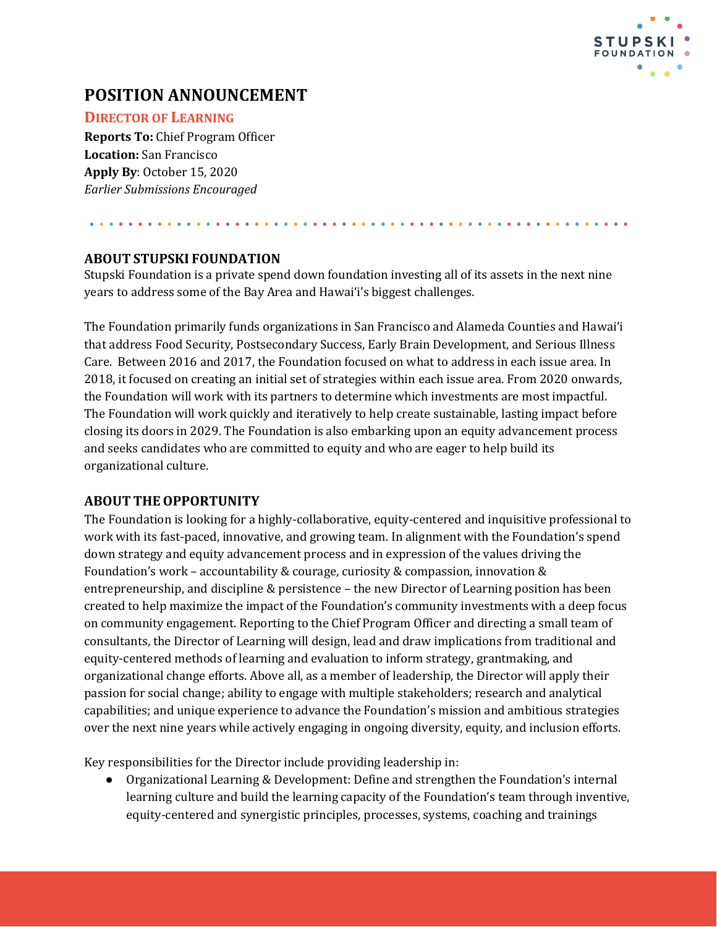

# **POSITION ANNOUNCEMENT**

## **DIRECTOR OF LEARNING**

**Reports To:** Chief Program Officer **Location:** San Francisco **Apply By**: October 15, 2020 *Earlier Submissions Encouraged*

## **ABOUT STUPSKI FOUNDATION**

Stupski Foundation is a private spend down foundation investing all of its assets in the next nine years to address some of the Bay Area and Hawaiʻi's biggest challenges.

The Foundation primarily funds organizations in San Francisco and Alameda Counties and Hawaiʻi that address Food Security, Postsecondary Success, Early Brain Development, and Serious Illness Care. Between 2016 and 2017, the Foundation focused on what to address in each issue area. In 2018, it focused on creating an initial set of strategies within each issue area. From 2020 onwards, the Foundation will work with its partners to determine which investments are most impactful. The Foundation will work quickly and iteratively to help create sustainable, lasting impact before closing its doors in 2029. The Foundation is also embarking upon an equity advancement process and seeks candidates who are committed to equity and who are eager to help build its organizational culture.

# **ABOUT THEOPPORTUNITY**

The Foundation is looking for a highly-collaborative, equity-centered and inquisitive professional to work with its fast-paced, innovative, and growing team. In alignment with the Foundation's spend down strategy and equity advancement process and in expression of the values driving the Foundation's work – accountability & courage, curiosity & compassion, innovation & entrepreneurship, and discipline & persistence – the new Director of Learning position has been created to help maximize the impact of the Foundation's community investments with a deep focus on community engagement. Reporting to the Chief Program Officer and directing a small team of consultants, the Director of Learning will design, lead and draw implications from traditional and equity-centered methods of learning and evaluation to inform strategy, grantmaking, and organizational change efforts. Above all, as a member of leadership, the Director will apply their passion for social change; ability to engage with multiple stakeholders; research and analytical capabilities; and unique experience to advance the Foundation's mission and ambitious strategies over the next nine years while actively engaging in ongoing diversity, equity, and inclusion efforts.

Key responsibilities for the Director include providing leadership in:

● Organizational Learning & Development: Define and strengthen the Foundation's internal learning culture and build the learning capacity of the Foundation's team through inventive, equity-centered and synergistic principles, processes, systems, coaching and trainings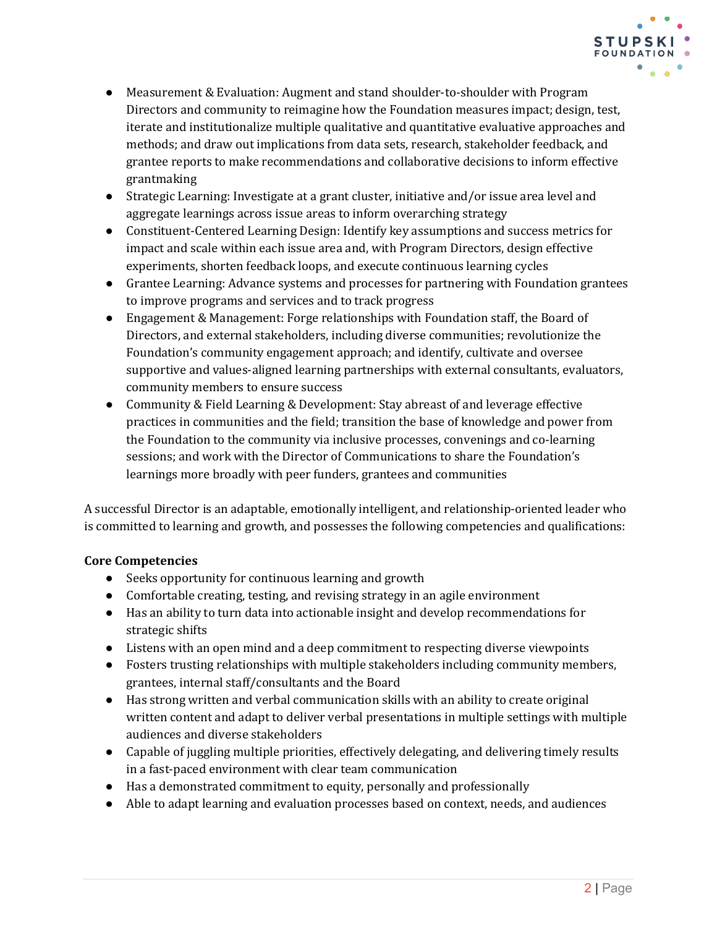

- Measurement & Evaluation: Augment and stand shoulder-to-shoulder with Program Directors and community to reimagine how the Foundation measures impact; design, test, iterate and institutionalize multiple qualitative and quantitative evaluative approaches and methods; and draw out implications from data sets, research, stakeholder feedback, and grantee reports to make recommendations and collaborative decisions to inform effective grantmaking
- Strategic Learning: Investigate at a grant cluster, initiative and/or issue area level and aggregate learnings across issue areas to inform overarching strategy
- Constituent-Centered Learning Design: Identify key assumptions and success metrics for impact and scale within each issue area and, with Program Directors, design effective experiments, shorten feedback loops, and execute continuous learning cycles
- Grantee Learning: Advance systems and processes for partnering with Foundation grantees to improve programs and services and to track progress
- Engagement & Management: Forge relationships with Foundation staff, the Board of Directors, and external stakeholders, including diverse communities; revolutionize the Foundation's community engagement approach; and identify, cultivate and oversee supportive and values-aligned learning partnerships with external consultants, evaluators, community members to ensure success
- Community & Field Learning & Development: Stay abreast of and leverage effective practices in communities and the field; transition the base of knowledge and power from the Foundation to the community via inclusive processes, convenings and co-learning sessions; and work with the Director of Communications to share the Foundation's learnings more broadly with peer funders, grantees and communities

A successful Director is an adaptable, emotionally intelligent, and relationship-oriented leader who is committed to learning and growth, and possesses the following competencies and qualifications:

#### **Core Competencies**

- Seeks opportunity for continuous learning and growth
- Comfortable creating, testing, and revising strategy in an agile environment
- Has an ability to turn data into actionable insight and develop recommendations for strategic shifts
- Listens with an open mind and a deep commitment to respecting diverse viewpoints
- Fosters trusting relationships with multiple stakeholders including community members, grantees, internal staff/consultants and the Board
- Has strong written and verbal communication skills with an ability to create original written content and adapt to deliver verbal presentations in multiple settings with multiple audiences and diverse stakeholders
- Capable of juggling multiple priorities, effectively delegating, and delivering timely results in a fast-paced environment with clear team communication
- Has a demonstrated commitment to equity, personally and professionally
- Able to adapt learning and evaluation processes based on context, needs, and audiences